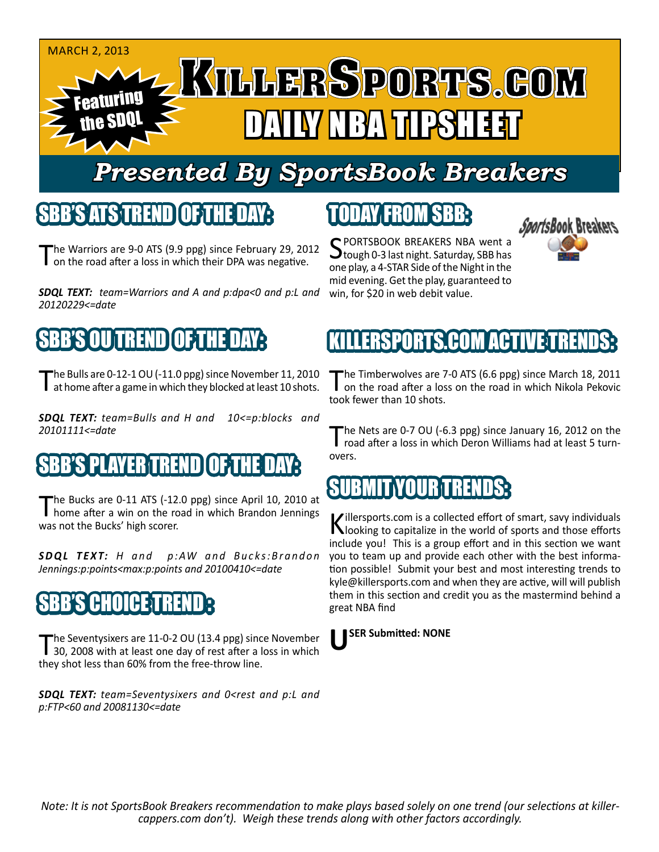#### MARCH 2, 2013

## Featuring the SDQL TA<u>i NBA TIPSHEE</u>T

# *Presented By SportsBook Breakers*

#### SBB'S ATS TREND OF THE DAY:

he Warriors are 9-0 ATS (9.9 ppg) since February 29, 2012 on the road after a loss in which their DPA was negative.

*SDQL TEXT: team=Warriors and A and p:dpa<0 and p:L and 20120229<=date*

### BB'S OU TREND TOF THE DAY

The Bulls are 0-12-1 OU (-11.0 ppg) since November 11, 2010<br>at home after a game in which they blocked at least 10 shots.

*SDQL TEXT: team=Bulls and H and 10<=p:blocks and 20101111<=date*

#### AYER TREND

The Bucks are 0-11 ATS (-12.0 ppg) since April 10, 2010 at home after a win on the road in which Brandon Jennings was not the Bucks' high scorer.

**SDQL TEXT:** *H* and p:AW and Bucks: Brandon *Jennings:p:points<max:p:points and 20100410<=date*

# I H'I LI LH EI

The Seventysixers are 11-0-2 OU (13.4 ppg) since November<br>30, 2008 with at least one day of rest after a loss in which they shot less than 60% from the free-throw line.

*SDQL TEXT: team=Seventysixers and 0<rest and p:L and p:FTP<60 and 20081130<=date*

# TODAY FROM SBB:

SPORTSBOOK BREAKERS NBA went a Stough 0-3 last night. Saturday, SBB has one play, a 4-STAR Side of the Night in the mid evening. Get the play, guaranteed to win, for \$20 in web debit value.



#### **ERSPORTS.COM ACTIVE:**

The Timberwolves are 7-0 ATS (6.6 ppg) since March 18, 2011 on the road after a loss on the road in which Nikola Pekovic took fewer than 10 shots.

The Nets are 0-7 OU (-6.3 ppg) since January 16, 2012 on the road after a loss in which Deron Williams had at least 5 turnovers.

#### SUBMIT YOUR TRENDS:

Killersports.com is a collected effort of smart, savy individuals<br>Nooking to capitalize in the world of sports and those efforts include you! This is a group effort and in this section we want you to team up and provide each other with the best information possible! Submit your best and most interesting trends to kyle@killersports.com and when they are active, will will publish them in this section and credit you as the mastermind behind a great NBA find



*Note: It is not SportsBook Breakers recommendation to make plays based solely on one trend (our selections at killercappers.com don't). Weigh these trends along with other factors accordingly.*